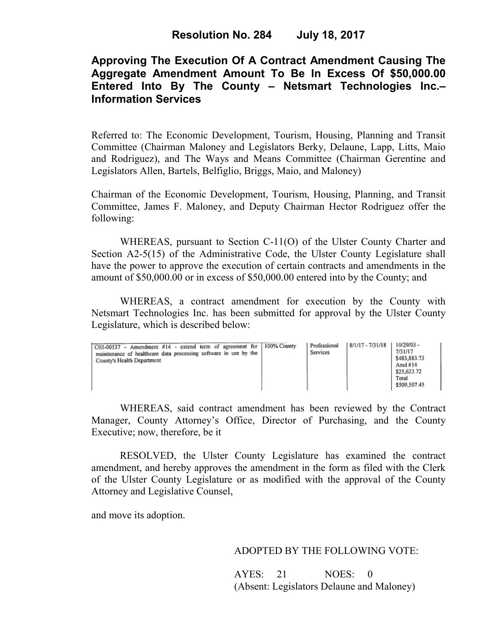# **Approving The Execution Of A Contract Amendment Causing The Aggregate Amendment Amount To Be In Excess Of \$50,000.00 Entered Into By The County – Netsmart Technologies Inc.– Information Services**

Referred to: The Economic Development, Tourism, Housing, Planning and Transit Committee (Chairman Maloney and Legislators Berky, Delaune, Lapp, Litts, Maio and Rodriguez), and The Ways and Means Committee (Chairman Gerentine and Legislators Allen, Bartels, Belfiglio, Briggs, Maio, and Maloney)

Chairman of the Economic Development, Tourism, Housing, Planning, and Transit Committee, James F. Maloney, and Deputy Chairman Hector Rodriguez offer the following:

WHEREAS, pursuant to Section C-11(O) of the Ulster County Charter and Section A2-5(15) of the Administrative Code, the Ulster County Legislature shall have the power to approve the execution of certain contracts and amendments in the amount of \$50,000.00 or in excess of \$50,000.00 entered into by the County; and

 WHEREAS, a contract amendment for execution by the County with Netsmart Technologies Inc. has been submitted for approval by the Ulster County Legislature, which is described below:

| C03-00537 - Amendment #14 - extend term of agreement for 100% County<br>maintenance of healthcare data processing software in use by the<br>County's Health Department |  | Professional<br>Services | 8/1/17 - 7/31/18 | 10/29/03 -<br>7/31/17<br>\$483,883.73<br>Amd $#14$<br>\$25,623.72<br>Total<br>\$509,507.45 |
|------------------------------------------------------------------------------------------------------------------------------------------------------------------------|--|--------------------------|------------------|--------------------------------------------------------------------------------------------|
|------------------------------------------------------------------------------------------------------------------------------------------------------------------------|--|--------------------------|------------------|--------------------------------------------------------------------------------------------|

WHEREAS, said contract amendment has been reviewed by the Contract Manager, County Attorney's Office, Director of Purchasing, and the County Executive; now, therefore, be it

RESOLVED, the Ulster County Legislature has examined the contract amendment, and hereby approves the amendment in the form as filed with the Clerk of the Ulster County Legislature or as modified with the approval of the County Attorney and Legislative Counsel,

and move its adoption.

### ADOPTED BY THE FOLLOWING VOTE:

AYES: 21 NOES: 0 (Absent: Legislators Delaune and Maloney)